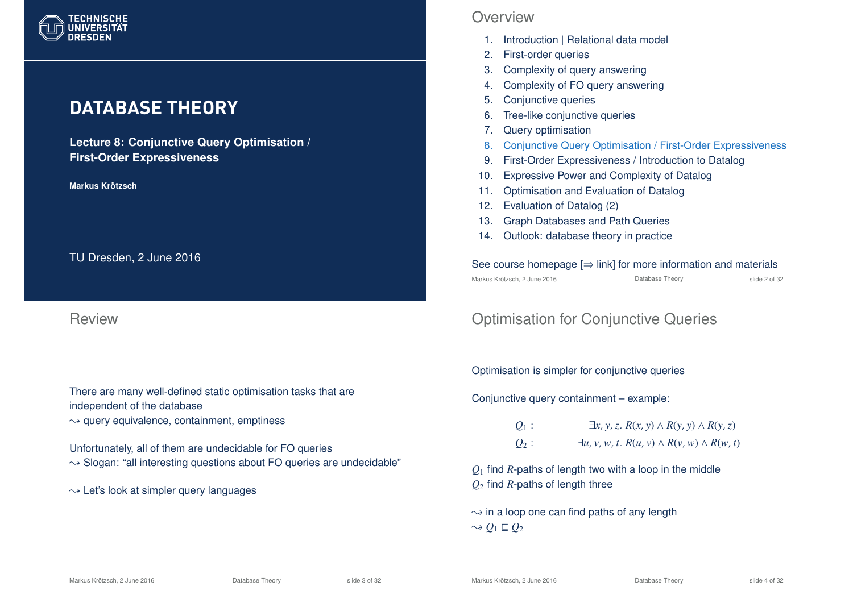

# **DATABASE THEORY**

**Lecture 8: Conjunctive Query Optimisation / First-Order Expressiveness**

**Markus Krotzsch ¨**

TU Dresden, 2 June 2016

Review

There are many well-defined static optimisation tasks that are independent of the database

 $\rightarrow$  query equivalence, containment, emptiness

Unfortunately, all of them are undecidable for FO queries

- $\rightarrow$  Slogan: "all interesting questions about FO queries are undecidable"
- $\rightarrow$  Let's look at simpler query languages

### **Overview**

- 1. Introduction | Relational data model
- 2. First-order queries
- 3. Complexity of query answering
- 4. Complexity of FO query answering
- 5. Conjunctive queries
- 6. Tree-like conjunctive queries
- 7. Query optimisation
- 8. Conjunctive Query Optimisation / First-Order Expressiveness
- 9. First-Order Expressiveness / Introduction to Datalog
- 10. Expressive Power and Complexity of Datalog
- 11. Optimisation and Evaluation of Datalog
- 12. Evaluation of Datalog (2)
- 13. Graph Databases and Path Queries
- 14. Outlook: database theory in practice

See course homepage  $[\Rightarrow$  link] for more information and materials Markus Krötzsch, 2 June 2016 Database Theory slide 2 of 32

# Optimisation for Conjunctive Queries

Optimisation is simpler for conjunctive queries

Conjunctive query containment – example:

*Q*<sub>1</sub> : ∃*x*, *y*, *z*. *R*(*x*, *y*) ∧ *R*(*y*, *y*) ∧ *R*(*y*, *z*) *Q*<sub>2</sub> :  $\exists u, v, w, t$ .  $R(u, v) \land R(v, w) \land R(w, t)$ 

*Q*<sup>1</sup> find *R*-paths of length two with a loop in the middle *Q*<sup>2</sup> find *R*-paths of length three

 $\rightarrow$  in a loop one can find paths of any length  $\sim Q_1 \sqsubseteq Q_2$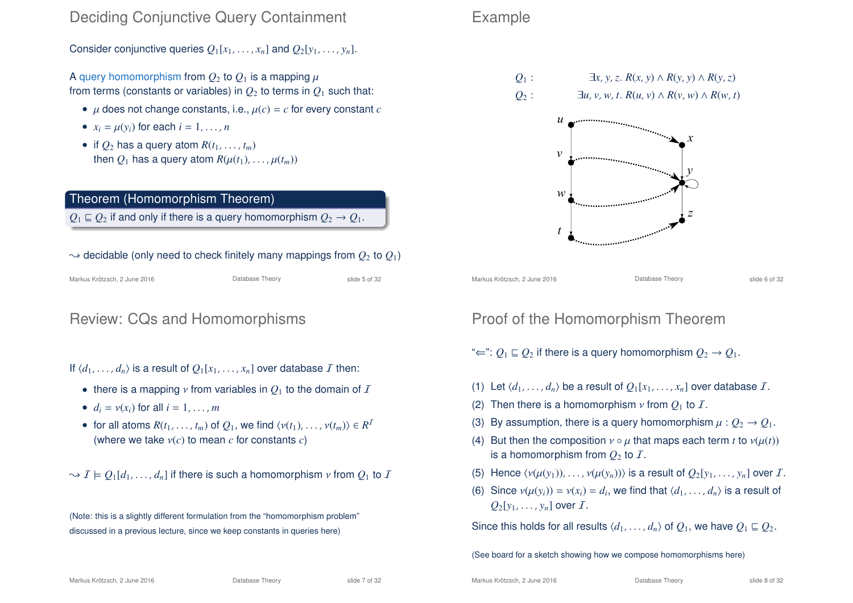### Deciding Conjunctive Query Containment

Consider conjunctive queries  $Q_1[x_1, \ldots, x_n]$  and  $Q_2[y_1, \ldots, y_n]$ .

A query homomorphism from  $Q_2$  to  $Q_1$  is a mapping  $\mu$ from terms (constants or variables) in  $Q_2$  to terms in  $Q_1$  such that:

- $\mu$  does not change constants, i.e.,  $\mu(c) = c$  for every constant *c*
- $x_i = \mu(y_i)$  for each  $i = 1, \ldots, n$
- if  $Q_2$  has a query atom  $R(t_1, \ldots, t_m)$ then  $Q_1$  has a query atom  $R(\mu(t_1), \ldots, \mu(t_m))$

#### Theorem (Homomorphism Theorem)

 $Q_1 \sqsubseteq Q_2$  if and only if there is a query homomorphism  $Q_2 \rightarrow Q_1$ .

#### $\rightarrow$  decidable (only need to check finitely many mappings from  $O_2$  to  $O_1$ )

| Markus Krötzsch, 2 June 2016 | Database Theory | slide 5 of 32 |
|------------------------------|-----------------|---------------|

### Review: CQs and Homomorphisms

If  $\langle d_1, \ldots, d_n \rangle$  is a result of  $Q_1[x_1, \ldots, x_n]$  over database I then:

- there is a mapping  $\nu$  from variables in  $Q_1$  to the domain of  $I$
- $d_i = v(x_i)$  for all  $i = 1, \ldots, m$
- for all atoms  $R(t_1, \ldots, t_m)$  of  $Q_1$ , we find  $\langle v(t_1), \ldots, v(t_m) \rangle \in R^1$ (where we take ν(*c*) to mean *c* for constants *c*)

 $\rightarrow$   $I \models Q_1[d_1, \ldots, d_n]$  if there is such a homomorphism  $\nu$  from  $Q_1$  to I

(Note: this is a slightly different formulation from the "homomorphism problem" discussed in a previous lecture, since we keep constants in queries here)

### Example



 $Q_2$  :  $\exists u, v, w, t$ .  $R(u, v) \wedge R(v, w) \wedge R(w, t)$ 



Markus Krötzsch, 2 June 2016 **Database Theory** Charles Krötzsch, 2 June 2016 **Database Theory** Slide 6 of 32

### Proof of the Homomorphism Theorem

" $\Leftarrow$ ":  $Q_1 \sqsubseteq Q_2$  if there is a query homomorphism  $Q_2 \rightarrow Q_1$ .

- (1) Let  $\langle d_1, \ldots, d_n \rangle$  be a result of  $Q_1[x_1, \ldots, x_n]$  over database *I*.
- (2) Then there is a homomorphism  $\nu$  from  $Q_1$  to  $\mathcal{I}$ .
- (3) By assumption, there is a query homomorphism  $\mu$  :  $Q_2 \rightarrow Q_1$ .
- (4) But then the composition  $v \circ \mu$  that maps each term *t* to  $v(\mu(t))$ is a homomorphism from  $Q_2$  to  $\overline{I}$ .
- (5) Hence  $\langle v(\mu(y_1)), \ldots, v(\mu(y_n)) \rangle$  is a result of  $Q_2[y_1, \ldots, y_n]$  over I.
- (6) Since  $v(\mu(y_i)) = v(x_i) = d_i$ , we find that  $\langle d_1, \ldots, d_n \rangle$  is a result of  $Q_2[y_1, \ldots, y_n]$  over  $\mathcal{I}$ .

Since this holds for all results  $\langle d_1, \ldots, d_n \rangle$  of  $Q_1$ , we have  $Q_1 \sqsubseteq Q_2$ .

(See board for a sketch showing how we compose homomorphisms here)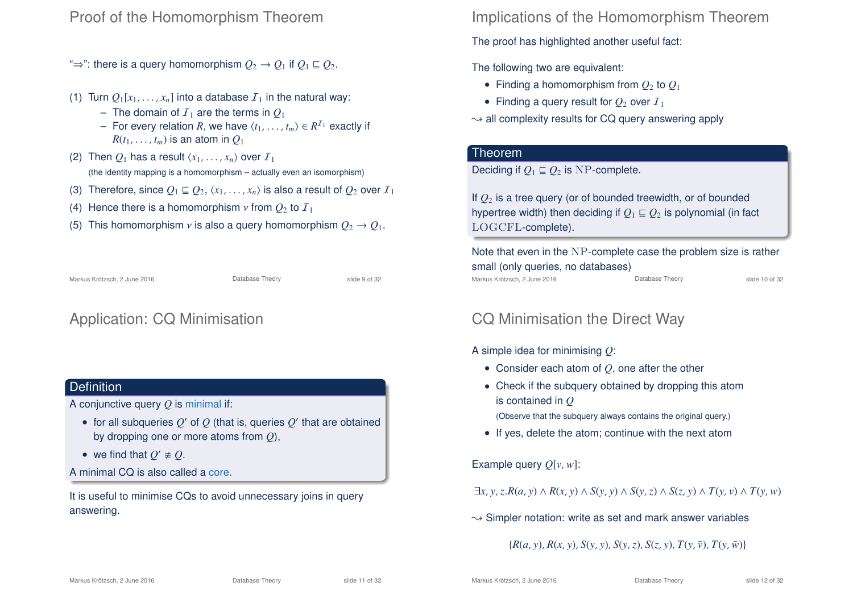### Proof of the Homomorphism Theorem

- " $\Rightarrow$ ": there is a query homomorphism  $Q_2 \rightarrow Q_1$  if  $Q_1 \sqsubseteq Q_2$ .
- (1) Turn  $Q_1[x_1, \ldots, x_n]$  into a database  $I_1$  in the natural way:
	- $-$  The domain of  $I_1$  are the terms in  $O_1$
	- $−$  For every relation *R*, we have  $\langle t_1, \ldots, t_m \rangle$  ∈  $R^{1}$ <sub>1</sub> exactly if  $R(t_1, \ldots, t_m)$  is an atom in  $O_1$
- (2) Then  $Q_1$  has a result  $\langle x_1, \ldots, x_n \rangle$  over  $I_1$ (the identity mapping is a homomorphism – actually even an isomorphism)
- (3) Therefore, since  $Q_1 \sqsubseteq Q_2, \langle x_1, \ldots, x_n \rangle$  is also a result of  $Q_2$  over  $I_1$
- (4) Hence there is a homomorphism  $\nu$  from  $Q_2$  to  $I_1$
- (5) This homomorphism *v* is also a query homomorphism  $Q_2 \rightarrow Q_1$ .

Markus Krötzsch, 2 June 2016 Database Theory slide 9 of 32

# Application: CQ Minimisation

### **Definition**

A conjunctive query *Q* is minimal if:

- $\bullet\,$  for all subqueries  ${\mathcal Q}'$  of  ${\mathcal Q}$  (that is, queries  ${\mathcal Q}'$  that are obtained by dropping one or more atoms from *Q*),
- we find that  $Q' \neq Q$ .
- A minimal CQ is also called a core.

It is useful to minimise CQs to avoid unnecessary joins in query answering.

Implications of the Homomorphism Theorem

The proof has highlighted another useful fact:

The following two are equivalent:

- Finding a homomorphism from  $Q_2$  to  $Q_1$
- Finding a query result for  $Q_2$  over  $I_1$
- $\rightarrow$  all complexity results for CQ query answering apply

#### Theorem

Deciding if  $O_1 \sqsubseteq O_2$  is NP-complete.

If *Q*<sup>2</sup> is a tree query (or of bounded treewidth, or of bounded hypertree width) then deciding if  $Q_1 \sqsubseteq Q_2$  is polynomial (in fact LOGCFL-complete).

Note that even in the NP-complete case the problem size is rather small (only queries, no databases) Markus Krötzsch, 2 June 2016 **Database Theory** Slide 10 of 32

### CQ Minimisation the Direct Way

A simple idea for minimising *Q*:

- Consider each atom of *Q*, one after the other
- Check if the subquery obtained by dropping this atom is contained in *Q*

(Observe that the subquery always contains the original query.)

• If yes, delete the atom; continue with the next atom

Example query *Q*[*v*,*w*]:

 $\exists x, y, z. R(a, y) \wedge R(x, y) \wedge S(y, y) \wedge S(y, z) \wedge S(z, y) \wedge T(y, y) \wedge T(y, w)$ 

 $\rightarrow$  Simpler notation: write as set and mark answer variables

 ${R(a, y), R(x, y), S(y, y), S(y, z), S(z, y), T(y, \bar{y}), T(y, \bar{w})}$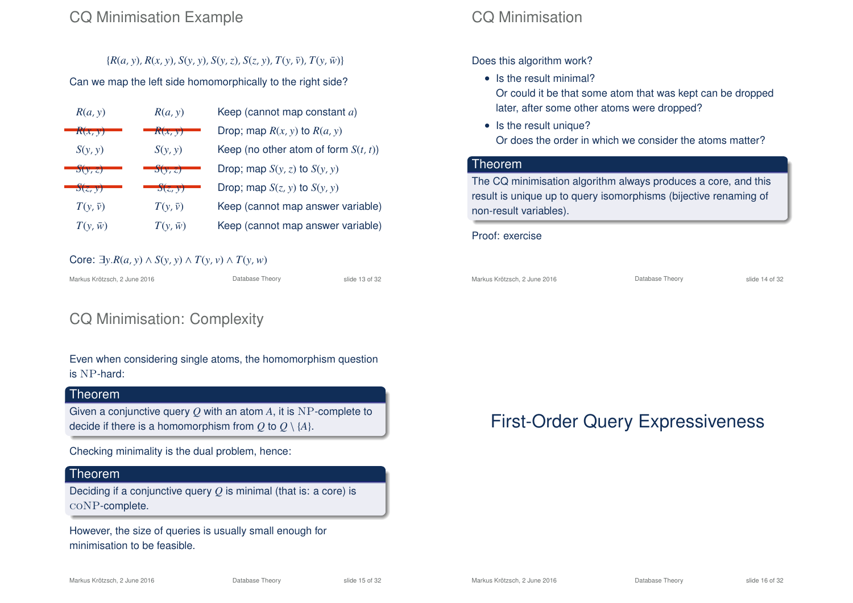## CQ Minimisation Example

### ${R(a, y), R(x, y), S(y, y), S(y, z), S(z, y), T(y, \bar{y}), T(y, \bar{w})}$

### Can we map the left side homomorphically to the right side?

| R(a, y)            | R(a, y)        | Keep (cannot map constant a)            |
|--------------------|----------------|-----------------------------------------|
| R(x, y)            | R(x, y)        | Drop; map $R(x, y)$ to $R(a, y)$        |
| S(y, y)            | S(y, y)        | Keep (no other atom of form $S(t, t)$ ) |
| $\mathcal{S}(v,z)$ | S(y, z)        | Drop; map $S(y, z)$ to $S(y, y)$        |
| S(z, y)            | S(z, y)        | Drop; map $S(z, y)$ to $S(y, y)$        |
| $T(v,\bar{v})$     | $T(v,\bar{v})$ | Keep (cannot map answer variable)       |
| $T(y,\bar{w})$     | $T(y,\bar{w})$ | Keep (cannot map answer variable)       |

### Core:  $\exists y.R(a, y) \land S(y, y) \land T(y, y) \land T(y, w)$

Markus Krötzsch, 2 June 2016 **Database Theory** Slide 13 of 32

# CQ Minimisation: Complexity

Even when considering single atoms, the homomorphism question is NP-hard:

#### **Theorem**

Given a conjunctive query *Q* with an atom *A*, it is NP-complete to decide if there is a homomorphism from  $Q$  to  $Q \setminus \{A\}$ .

Checking minimality is the dual problem, hence:

### Theorem

Deciding if a conjunctive query *Q* is minimal (that is: a core) is coNP-complete.

However, the size of queries is usually small enough for minimisation to be feasible.

# CQ Minimisation

Does this algorithm work?

- Is the result minimal? Or could it be that some atom that was kept can be dropped later, after some other atoms were dropped?
- Is the result unique? Or does the order in which we consider the atoms matter?

### Theorem

The CQ minimisation algorithm always produces a core, and this result is unique up to query isomorphisms (bijective renaming of non-result variables).

#### Proof: exercise

Markus Krötzsch, 2 June 2016 **Database Theory** Slide 14 of 32

# First-Order Query Expressiveness

Markus Krötzsch, 2 June 2016 Database Theory slide 15 of 32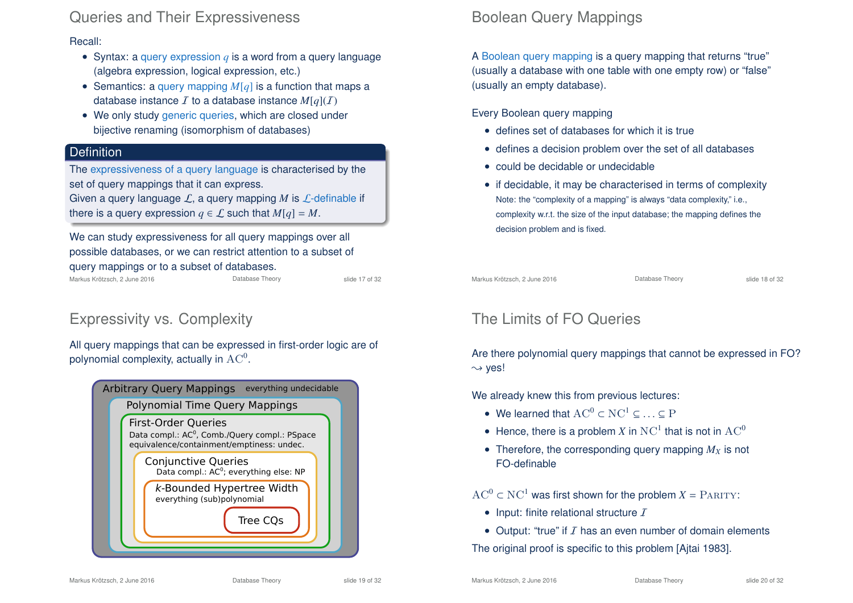### Queries and Their Expressiveness

Recall:

- Syntax: a query expression *q* is a word from a query language (algebra expression, logical expression, etc.)
- Semantics: a query mapping *M*[*q*] is a function that maps a database instance  $\mathcal I$  to a database instance  $M[q](\mathcal I)$
- We only study generic queries, which are closed under bijective renaming (isomorphism of databases)

### **Definition**

The expressiveness of a query language is characterised by the set of query mappings that it can express.

Given a query language L, a query mapping M is L-definable if there is a query expression  $q \in \mathcal{L}$  such that  $M[q] = M$ .

#### We can study expressiveness for all query mappings over all possible databases, or we can restrict attention to a subset of query mappings or to a subset of databases. Markus Krötzsch, 2 June 2016 **Database Theory** Slide 17 of 32

# Expressivity vs. Complexity

All query mappings that can be expressed in first-order logic are of polynomial complexity, actually in  $\rm AC^0.$ 

| <b>Arbitrary Query Mappings</b><br>everything undecidable                                                                            |
|--------------------------------------------------------------------------------------------------------------------------------------|
| Polynomial Time Query Mappings                                                                                                       |
| <b>First-Order Queries</b><br>Data compl.: AC <sup>0</sup> , Comb./Query compl.: PSpace<br>equivalence/containment/emptiness: undec. |
| <b>Conjunctive Queries</b><br>Data compl.: AC <sup>0</sup> ; everything else: NP                                                     |
| k-Bounded Hypertree Width<br>everything (sub)polynomial                                                                              |
| Tree CQs                                                                                                                             |
|                                                                                                                                      |

# Boolean Query Mappings

A Boolean query mapping is a query mapping that returns "true" (usually a database with one table with one empty row) or "false" (usually an empty database).

#### Every Boolean query mapping

- defines set of databases for which it is true
- defines a decision problem over the set of all databases
- could be decidable or undecidable
- if decidable, it may be characterised in terms of complexity Note: the "complexity of a mapping" is always "data complexity," i.e., complexity w.r.t. the size of the input database; the mapping defines the decision problem and is fixed.

Markus Krötzsch, 2 June 2016 **Database Theory** Slide 18 of 32

# The Limits of FO Queries

Are there polynomial query mappings that cannot be expressed in FO?  $\rightsquigarrow$  ves!

We already knew this from previous lectures:

- We learned that  $AC^0 \subset NC^1 \subset \ldots \subset P$
- Hence, there is a problem X in  $NC^1$  that is not in  $AC^0$
- Therefore, the corresponding query mapping  $M_X$  is not FO-definable

 $AC^0 \subset NC^1$  was first shown for the problem  $X = PARITY$ :

- Input: finite relational structure  $I$
- Output: "true" if  $I$  has an even number of domain elements

The original proof is specific to this problem [Ajtai 1983].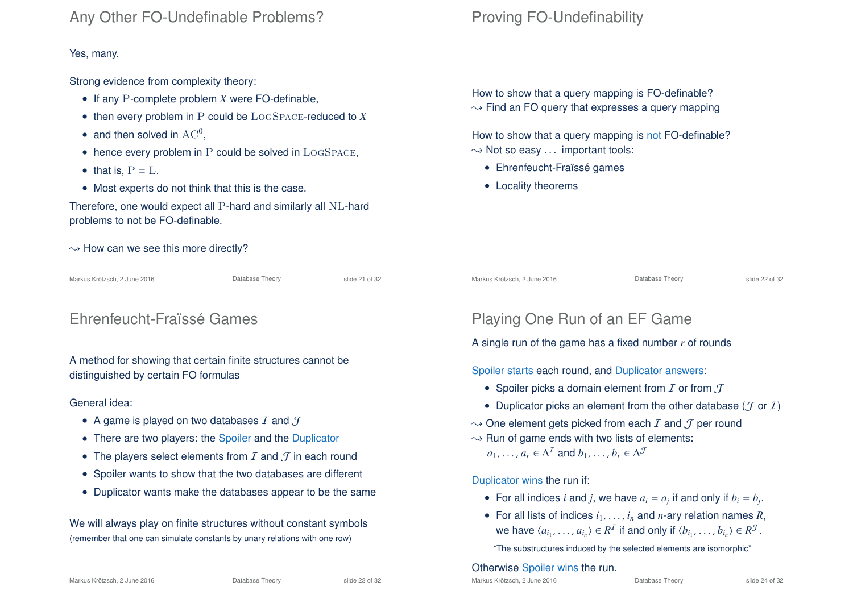### Any Other FO-Undefinable Problems?

#### Yes, many.

Strong evidence from complexity theory:

- If any P-complete problem *X* were FO-definable,
- then every problem in P could be LogSpace-reduced to *X*
- and then solved in  $AC^0$ ,
- hence every problem in P could be solved in LOGSPACE,
- that is,  $P = L$ .
- Most experts do not think that this is the case.

Therefore, one would expect all P-hard and similarly all NL-hard problems to not be FO-definable.

 $\rightarrow$  How can we see this more directly?

Markus Krötzsch, 2 June 2016 **Database Theory** Slide 21 of 32

### Ehrenfeucht-Fraïssé Games

A method for showing that certain finite structures cannot be distinguished by certain FO formulas

#### General idea:

- A game is played on two databases  $I$  and  $J$
- There are two players: the Spoiler and the Duplicator
- The players select elements from  $I$  and  $J$  in each round
- Spoiler wants to show that the two databases are different
- Duplicator wants make the databases appear to be the same

We will always play on finite structures without constant symbols (remember that one can simulate constants by unary relations with one row)

# Proving FO-Undefinability

How to show that a query mapping is FO-definable?  $\rightarrow$  Find an FO query that expresses a query mapping

How to show that a query mapping is not FO-definable?  $\rightarrow$  Not so easy ... important tools:

- Ehrenfeucht-Fraïssé games
- Locality theorems

Markus Krötzsch, 2 June 2016 **Database Theory** Slide 22 of 32

# Playing One Run of an EF Game

A single run of the game has a fixed number *r* of rounds

Spoiler starts each round, and Duplicator answers:

- Spoiler picks a domain element from  $I$  or from  $J$
- Duplicator picks an element from the other database ( $\mathcal J$  or  $\mathcal I$ )
- $\rightarrow$  One element gets picked from each  $I$  and  $J$  per round
- $\rightarrow$  Run of game ends with two lists of elements:  $a_1, \ldots, a_r \in \Delta^I$  and  $b_1, \ldots, b_r \in \Delta^J$

#### Duplicator wins the run if:

- For all indices *i* and *j*, we have  $a_i = a_j$  if and only if  $b_i = b_j$ .
- For all lists of indices  $i_1, \ldots, i_n$  and *n*-ary relation names *R*, we have  $\langle a_{i_1}, \ldots, a_{i_n} \rangle \in R^{\mathcal{I}}$  if and only if  $\langle b_{i_1}, \ldots, b_{i_n} \rangle \in R^{\mathcal{J}}$ .

"The substructures induced by the selected elements are isomorphic"

#### Otherwise Spoiler wins the run.

Markus Krötzsch, 2 June 2016 Database Theory slide 23 of 32

Markus Krötzsch, 2 June 2016 Database Theory slide 24 of 32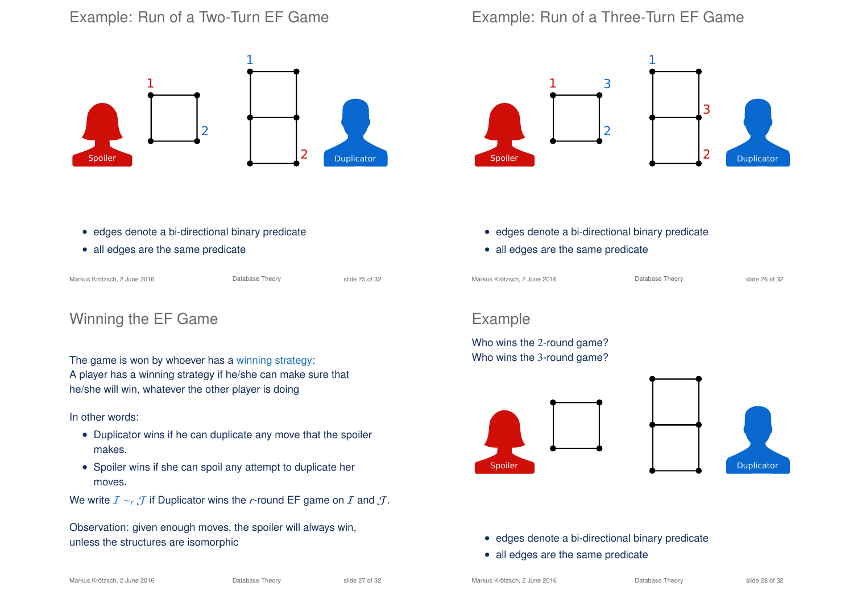## Example: Run of a Two-Turn EF Game



# Example: Run of a Three-Turn EF Game



- edges denote a bi-directional binary predicate
- all edges are the same predicate

Markus Krötzsch, 2 June 2016 **Database Theory** Slide 25 of 32

### Winning the EF Game

The game is won by whoever has a winning strategy: A player has a winning strategy if he/she can make sure that he/she will win, whatever the other player is doing

#### In other words:

- Duplicator wins if he can duplicate any move that the spoiler makes.
- Spoiler wins if she can spoil any attempt to duplicate her moves.
- We write  $I \sim r$ ,  $\mathcal{J}$  if Duplicator wins the *r*-round EF game on  $I$  and  $\mathcal{J}$ .

Observation: given enough moves, the spoiler will always win, unless the structures are isomorphic

- edges denote a bi-directional binary predicate
- all edges are the same predicate

Markus Krötzsch, 2 June 2016 **Database Theory** Slide 26 of 32

### Example

Who wins the 2-round game? Who wins the 3-round game?





- edges denote a bi-directional binary predicate
- all edges are the same predicate